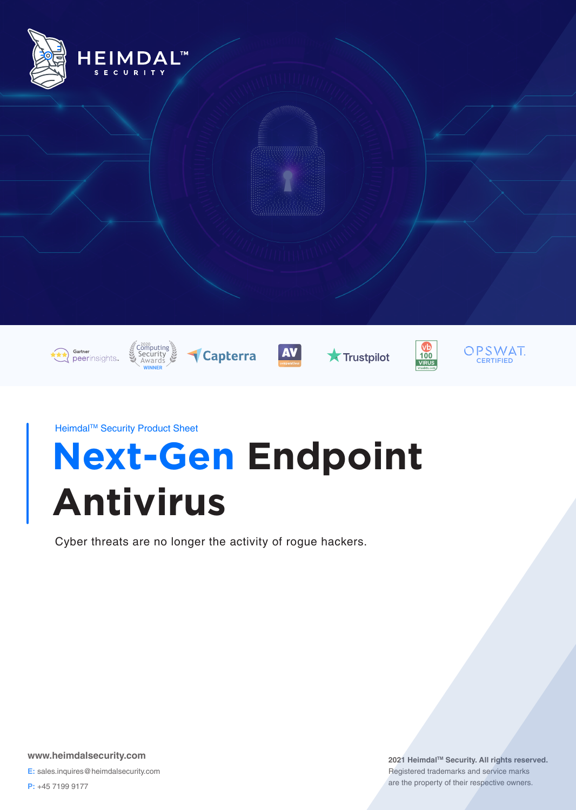

**Next-Gen Endpoint Antivirus** Heimdal™ Security Product Sheet

Cyber threats are no longer the activity of rogue hackers.

**www.heimdalsecurity.com E:** sales.inquires@heimdalsecurity.com

**P:** +45 7199 9177

2021 Heimdal<sup>™</sup> Security. All rights reserved. Registered trademarks and service marks are the property of their respective owners.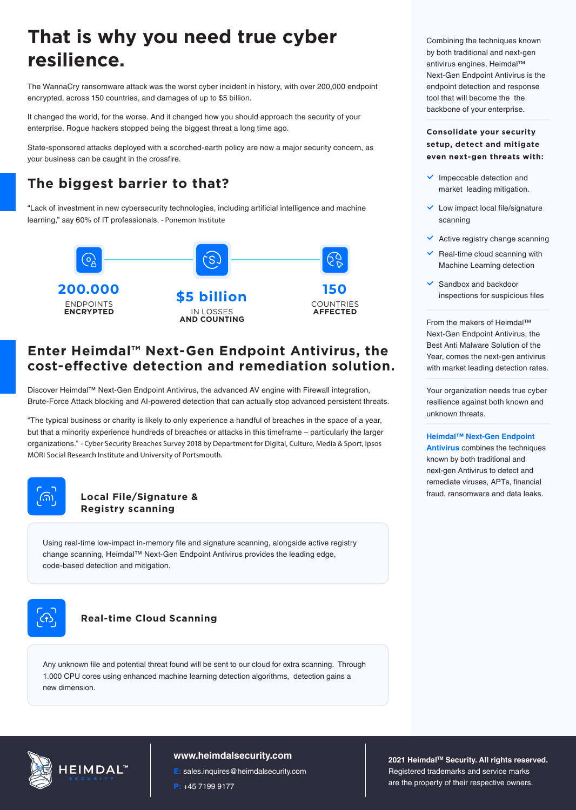# **That is why you need true cyber resilience.**

The WannaCry ransomware attack was the worst cyber incident in history, with over 200,000 endpoint encrypted, across 150 countries, and damages of up to \$5 billion.

It changed the world, for the worse. And it changed how you should approach the security of your enterprise. Rogue hackers stopped being the biggest threat a long time ago.

State-sponsored attacks deployed with a scorched-earth policy are now a major security concern, as your business can be caught in the crossfire.

## **The biggest barrier to that?**

"Lack of investment in new cybersecurity technologies, including artificial intelligence and machine learning," say 60% of IT professionals. *- Ponemon Institute*



### **Enter Heimdal™ Next-Gen Endpoint Antivirus, the cost-eective detection and remediation solution.**

Discover Heimdal™ Next-Gen Endpoint Antivirus, the advanced AV engine with Firewall integration, Brute-Force Attack blocking and AI-powered detection that can actually stop advanced persistent threats.

"The typical business or charity is likely to only experience a handful of breaches in the space of a year, but that a minority experience hundreds of breaches or attacks in this timeframe – particularly the larger organizations." *- Cyber Security Breaches Survey 2018 by Department for Digital, Culture, Media & Sport, Ipsos MORI Social Research Institute and University of Portsmouth.*



#### **Local File/Signature & Registry scanning**

Using real-time low-impact in-memory file and signature scanning, alongside active registry change scanning, Heimdal™ Next-Gen Endpoint Antivirus provides the leading edge, code-based detection and mitigation.



#### **Real-time Cloud Scanning**

Any unknown file and potential threat found will be sent to our cloud for extra scanning. Through 1.000 CPU cores using enhanced machine learning detection algorithms, detection gains a new dimension.



#### **www.heimdalsecurity.com**

**E:** sales.inquires@heimdalsecurity.com

**P:** +45 7199 9177

Combining the techniques known by both traditional and next-gen antivirus engines, Heimdal™ Next-Gen Endpoint Antivirus is the endpoint detection and response tool that will become the the backbone of your enterprise.

#### **Consolidate your security setup, detect and mitigate even next-gen threats with:**

- $\vee$  Impeccable detection and market leading mitigation.
- $\vee$  Low impact local file/signature scanning
- $\vee$  Active registry change scanning
- $\vee$  Real-time cloud scanning with Machine Learning detection
- $\checkmark$  Sandbox and backdoor

From the makers of Heimdal™ Next-Gen Endpoint Antivirus, the Best Anti Malware Solution of the Year, comes the next-gen antivirus with market leading detection rates.

Your organization needs true cyber resilience against both known and unknown threats.

**Heimdal™ Next-Gen Endpoint Antivirus** combines the techniques known by both traditional and next-gen Antivirus to detect and remediate viruses, APTs, financial fraud, ransomware and data leaks.

**2021 HeimdalTM Security. All rights reserved.** Registered trademarks and service marks are the property of their respective owners.